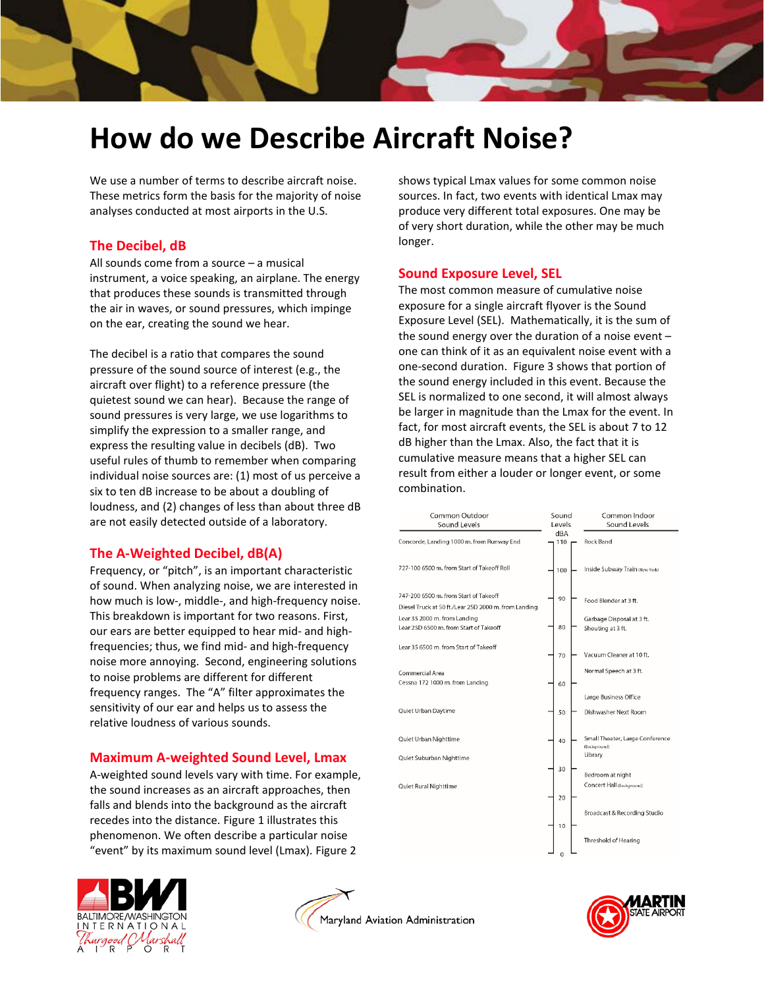

# **How do we Describe Aircraft Noise?**

We use a number of terms to describe aircraft noise. These metrics form the basis for the majority of noise analyses conducted at most airports in the U.S.

### **The Decibel, dB**

All sounds come from a source – a musical instrument, a voice speaking, an airplane. The energy that produces these sounds is transmitted through the air in waves, or sound pressures, which impinge on the ear, creating the sound we hear.

The decibel is a ratio that compares the sound pressure of the sound source of interest (e.g., the aircraft over flight) to a reference pressure (the quietest sound we can hear). Because the range of sound pressures is very large, we use logarithms to simplify the expression to a smaller range, and express the resulting value in decibels (dB). Two useful rules of thumb to remember when comparing individual noise sources are: (1) most of us perceive a six to ten dB increase to be about a doubling of loudness, and (2) changes of less than about three dB are not easily detected outside of a laboratory.

## **The A-Weighted Decibel, dB(A)**

Frequency, or "pitch", is an important characteristic of sound. When analyzing noise, we are interested in how much is low-, middle-, and high-frequency noise. This breakdown is important for two reasons. First, our ears are better equipped to hear mid- and highfrequencies; thus, we find mid- and high-frequency noise more annoying. Second, engineering solutions to noise problems are different for different frequency ranges. The "A" filter approximates the sensitivity of our ear and helps us to assess the relative loudness of various sounds.

#### **Maximum A-weighted Sound Level, Lmax**

A-weighted sound levels vary with time. For example, the sound increases as an aircraft approaches, then falls and blends into the background as the aircraft recedes into the distance. Figure 1 illustrates this phenomenon. We often describe a particular noise "event" by its maximum sound level (Lmax). Figure 2

shows typical Lmax values for some common noise sources. In fact, two events with identical Lmax may produce very different total exposures. One may be of very short duration, while the other may be much longer.

#### **Sound Exposure Level, SEL**

The most common measure of cumulative noise exposure for a single aircraft flyover is the Sound Exposure Level (SEL). Mathematically, it is the sum of the sound energy over the duration of a noise event – one can think of it as an equivalent noise event with a one-second duration. Figure 3 shows that portion of the sound energy included in this event. Because the SEL is normalized to one second, it will almost always be larger in magnitude than the Lmax for the event. In fact, for most aircraft events, the SEL is about 7 to 12 dB higher than the Lmax. Also, the fact that it is cumulative measure means that a higher SEL can result from either a louder or longer event, or some combination.